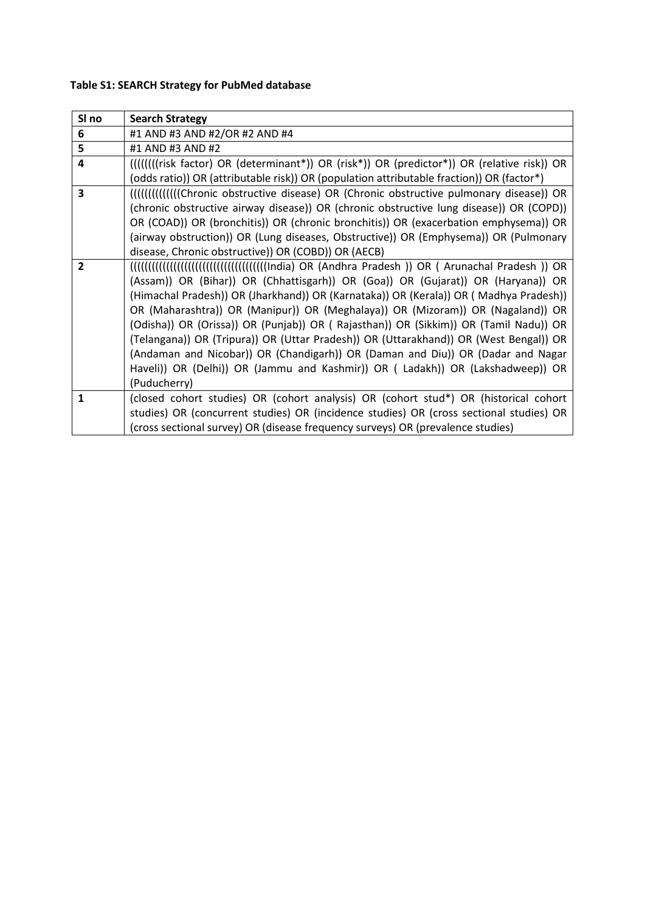# **Table S1: SEARCH Strategy for PubMed database**

| SI no                   | <b>Search Strategy</b>                                                                             |
|-------------------------|----------------------------------------------------------------------------------------------------|
| 6                       | #1 AND #3 AND #2/OR #2 AND #4                                                                      |
| 5                       | #1 AND #3 AND #2                                                                                   |
| $\overline{\mathbf{4}}$ | (((((((risk factor) OR (determinant*)) OR (risk*)) OR (predictor*)) OR (relative risk)) OR         |
|                         | (odds ratio)) OR (attributable risk)) OR (population attributable fraction)) OR (factor*)          |
| $\overline{\mathbf{3}}$ | [[[[[[[[[[[[[[[[[[[[[[[Chronic obstructive disease] OR (Chronic obstructive pulmonary disease)) OR |
|                         | (chronic obstructive airway disease)) OR (chronic obstructive lung disease)) OR (COPD))            |
|                         | OR (COAD)) OR (bronchitis)) OR (chronic bronchitis)) OR (exacerbation emphysema)) OR               |
|                         | (airway obstruction)) OR (Lung diseases, Obstructive)) OR (Emphysema)) OR (Pulmonary               |
|                         | disease, Chronic obstructive)) OR (COBD)) OR (AECB)                                                |
| $\overline{2}$          |                                                                                                    |
|                         | (Assam)) OR (Bihar)) OR (Chhattisgarh)) OR (Goa)) OR (Gujarat)) OR (Haryana)) OR                   |
|                         | (Himachal Pradesh)) OR (Jharkhand)) OR (Karnataka)) OR (Kerala)) OR (Madhya Pradesh))              |
|                         | OR (Maharashtra)) OR (Manipur)) OR (Meghalaya)) OR (Mizoram)) OR (Nagaland)) OR                    |
|                         | (Odisha)) OR (Orissa)) OR (Punjab)) OR (Rajasthan)) OR (Sikkim)) OR (Tamil Nadu)) OR               |
|                         | (Telangana)) OR (Tripura)) OR (Uttar Pradesh)) OR (Uttarakhand)) OR (West Bengal)) OR              |
|                         | (Andaman and Nicobar)) OR (Chandigarh)) OR (Daman and Diu)) OR (Dadar and Nagar                    |
|                         | Haveli)) OR (Delhi)) OR (Jammu and Kashmir)) OR (Ladakh)) OR (Lakshadweep)) OR                     |
|                         | (Puducherry)                                                                                       |
| $\mathbf{1}$            | (closed cohort studies) OR (cohort analysis) OR (cohort stud*) OR (historical cohort               |
|                         | studies) OR (concurrent studies) OR (incidence studies) OR (cross sectional studies) OR            |
|                         | (cross sectional survey) OR (disease frequency surveys) OR (prevalence studies)                    |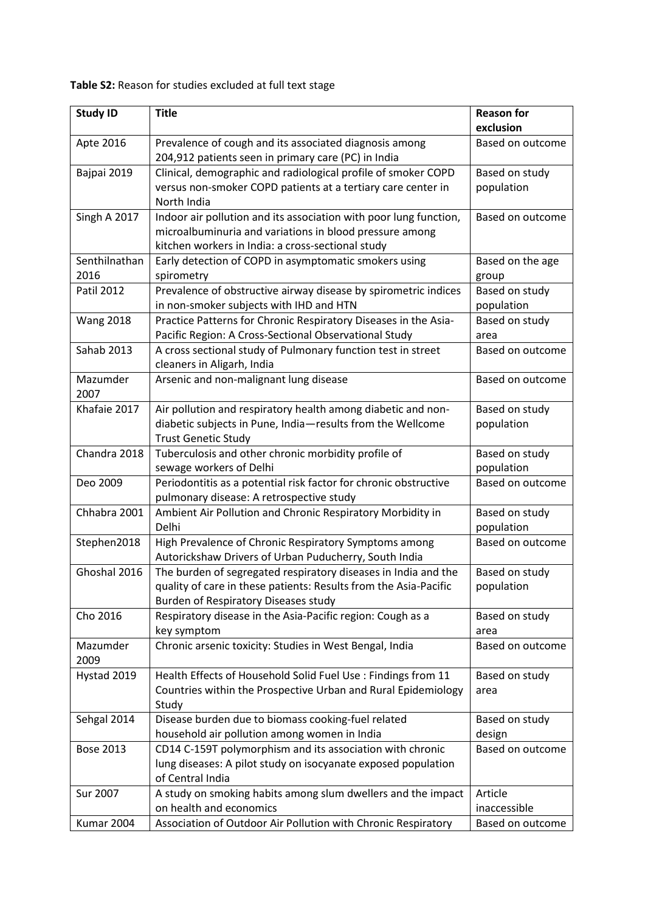**Table S2:** Reason for studies excluded at full text stage

| <b>Study ID</b>  | <b>Reason for</b>                                                 |                          |  |
|------------------|-------------------------------------------------------------------|--------------------------|--|
|                  |                                                                   | exclusion                |  |
| Apte 2016        | Prevalence of cough and its associated diagnosis among            | <b>Based on outcome</b>  |  |
|                  | 204,912 patients seen in primary care (PC) in India               |                          |  |
| Bajpai 2019      | Clinical, demographic and radiological profile of smoker COPD     | Based on study           |  |
|                  | versus non-smoker COPD patients at a tertiary care center in      | population               |  |
|                  | North India                                                       |                          |  |
| Singh A 2017     | Indoor air pollution and its association with poor lung function, | <b>Based on outcome</b>  |  |
|                  | microalbuminuria and variations in blood pressure among           |                          |  |
|                  | kitchen workers in India: a cross-sectional study                 |                          |  |
| Senthilnathan    | Early detection of COPD in asymptomatic smokers using             | Based on the age         |  |
| 2016             | spirometry                                                        | group                    |  |
| Patil 2012       | Prevalence of obstructive airway disease by spirometric indices   | Based on study           |  |
|                  | in non-smoker subjects with IHD and HTN                           | population               |  |
| <b>Wang 2018</b> | Practice Patterns for Chronic Respiratory Diseases in the Asia-   | Based on study           |  |
|                  | Pacific Region: A Cross-Sectional Observational Study             | area                     |  |
| Sahab 2013       | A cross sectional study of Pulmonary function test in street      | <b>Based on outcome</b>  |  |
|                  | cleaners in Aligarh, India                                        |                          |  |
| Mazumder         | Arsenic and non-malignant lung disease                            | <b>Based on outcome</b>  |  |
| 2007             |                                                                   |                          |  |
| Khafaie 2017     | Air pollution and respiratory health among diabetic and non-      | Based on study           |  |
|                  | diabetic subjects in Pune, India-results from the Wellcome        | population               |  |
|                  | <b>Trust Genetic Study</b>                                        |                          |  |
| Chandra 2018     | Tuberculosis and other chronic morbidity profile of               | Based on study           |  |
|                  | sewage workers of Delhi                                           | population               |  |
| Deo 2009         | Periodontitis as a potential risk factor for chronic obstructive  | Based on outcome         |  |
|                  | pulmonary disease: A retrospective study                          |                          |  |
| Chhabra 2001     | Ambient Air Pollution and Chronic Respiratory Morbidity in        | Based on study           |  |
|                  | Delhi                                                             | population               |  |
| Stephen2018      | High Prevalence of Chronic Respiratory Symptoms among             | Based on outcome         |  |
|                  | Autorickshaw Drivers of Urban Puducherry, South India             |                          |  |
| Ghoshal 2016     | The burden of segregated respiratory diseases in India and the    | Based on study           |  |
|                  | quality of care in these patients: Results from the Asia-Pacific  | population               |  |
|                  | Burden of Respiratory Diseases study                              |                          |  |
| Cho 2016         | Respiratory disease in the Asia-Pacific region: Cough as a        | Based on study           |  |
|                  | key symptom                                                       | area                     |  |
| Mazumder         | Chronic arsenic toxicity: Studies in West Bengal, India           | Based on outcome         |  |
| 2009             |                                                                   |                          |  |
| Hystad 2019      | Health Effects of Household Solid Fuel Use : Findings from 11     | Based on study           |  |
|                  | Countries within the Prospective Urban and Rural Epidemiology     | area                     |  |
| Sehgal 2014      | Study<br>Disease burden due to biomass cooking-fuel related       |                          |  |
|                  | household air pollution among women in India                      | Based on study<br>design |  |
| <b>Bose 2013</b> | CD14 C-159T polymorphism and its association with chronic         | Based on outcome         |  |
|                  | lung diseases: A pilot study on isocyanate exposed population     |                          |  |
|                  | of Central India                                                  |                          |  |
| Sur 2007         | A study on smoking habits among slum dwellers and the impact      | Article                  |  |
|                  | on health and economics                                           | inaccessible             |  |
| Kumar 2004       | Association of Outdoor Air Pollution with Chronic Respiratory     | Based on outcome         |  |
|                  |                                                                   |                          |  |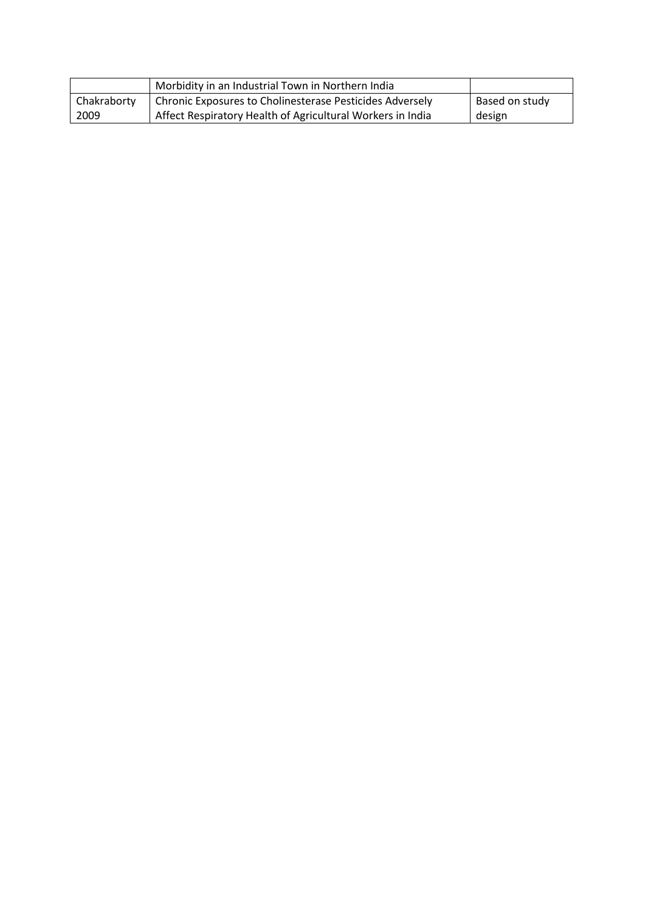|             | Morbidity in an Industrial Town in Northern India          |                |
|-------------|------------------------------------------------------------|----------------|
| Chakraborty | Chronic Exposures to Cholinesterase Pesticides Adversely   | Based on study |
| 2009        | Affect Respiratory Health of Agricultural Workers in India | design         |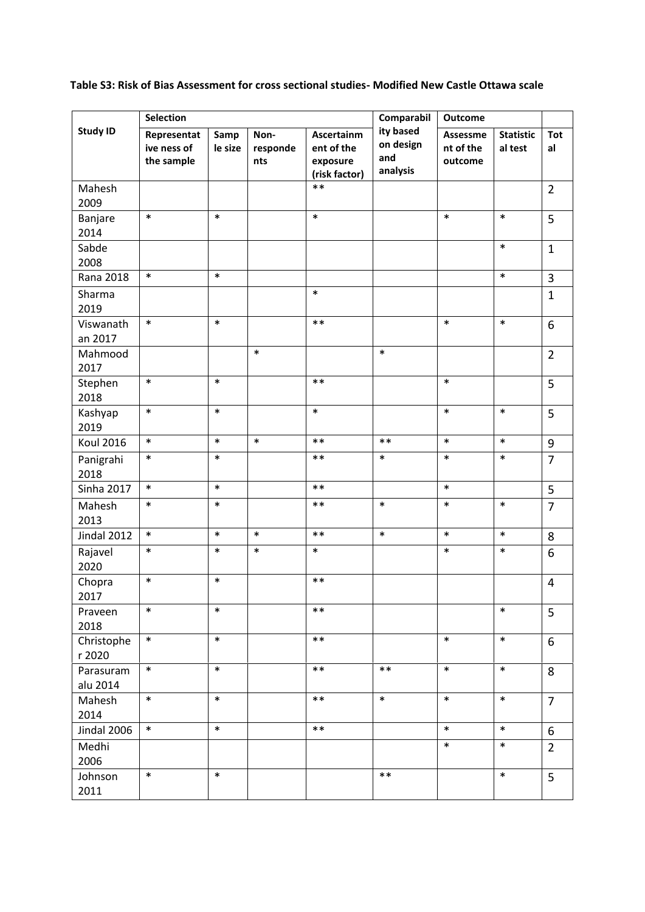**Table S3: Risk of Bias Assessment for cross sectional studies- Modified New Castle Ottawa scale**

|                       | <b>Selection</b>                         |                 |                         |                                                       | Comparabil                                | <b>Outcome</b>                   |                             |                  |  |
|-----------------------|------------------------------------------|-----------------|-------------------------|-------------------------------------------------------|-------------------------------------------|----------------------------------|-----------------------------|------------------|--|
| <b>Study ID</b>       | Representat<br>ive ness of<br>the sample | Samp<br>le size | Non-<br>responde<br>nts | Ascertainm<br>ent of the<br>exposure<br>(risk factor) | ity based<br>on design<br>and<br>analysis | Assessme<br>nt of the<br>outcome | <b>Statistic</b><br>al test | <b>Tot</b><br>al |  |
| Mahesh<br>2009        |                                          |                 |                         | $***$                                                 |                                           |                                  |                             | $\overline{2}$   |  |
| Banjare<br>2014       | $\ast$                                   | $\ast$          |                         | $\ast$                                                |                                           | $\ast$                           | $\ast$                      | 5                |  |
| Sabde<br>2008         |                                          |                 |                         |                                                       |                                           |                                  | $\ast$                      | $\mathbf{1}$     |  |
| Rana 2018             | $\ast$                                   | $\ast$          |                         |                                                       |                                           |                                  | $\ast$                      | 3                |  |
| Sharma<br>2019        |                                          |                 |                         | $\ast$                                                |                                           |                                  |                             | $\mathbf{1}$     |  |
| Viswanath<br>an 2017  | $\ast$                                   | $\ast$          |                         | $***$                                                 |                                           | $\ast$                           | $\ast$                      | 6                |  |
| Mahmood<br>2017       |                                          |                 | $\ast$                  |                                                       | $\ast$                                    |                                  |                             | $\overline{2}$   |  |
| Stephen<br>2018       | $\ast$                                   | $\ast$          |                         | $***$                                                 |                                           | $\ast$                           |                             | 5                |  |
| Kashyap<br>2019       | $\ast$                                   | $\ast$          |                         | $\ast$                                                |                                           | $\ast$                           | $\ast$                      | 5                |  |
| <b>Koul 2016</b>      | $\ast$                                   | $\ast$          | $\ast$                  | $***$                                                 | $***$                                     | $\ast$                           | $\ast$                      | $\boldsymbol{9}$ |  |
| Panigrahi<br>2018     | $\ast$                                   | $\ast$          |                         | $***$                                                 | $\ast$                                    | $\ast$                           | $\ast$                      | $\overline{7}$   |  |
| <b>Sinha 2017</b>     | $\ast$                                   | $\ast$          |                         | $***$                                                 |                                           | $\ast$                           |                             | 5                |  |
| Mahesh<br>2013        | $\ast$                                   | $\ast$          |                         | $***$                                                 | $\ast$                                    | $\ast$                           | $\ast$                      | $\overline{7}$   |  |
| Jindal 2012           | $\ast$                                   | $\ast$          | $\ast$                  | $***$                                                 | $\ast$                                    | $\ast$                           | $\ast$                      | 8                |  |
| Rajavel<br>2020       | $\ast$                                   | $\ast$          | $\ast$                  | $\ast$                                                |                                           | $\ast$                           | $\ast$                      | 6                |  |
| Chopra<br>2017        | $\ast$                                   | $\ast$          |                         | $***$                                                 |                                           |                                  |                             | 4                |  |
| Praveen<br>2018       | $\ast$                                   | $\ast$          |                         | $***$                                                 |                                           |                                  | $\ast$                      | 5                |  |
| Christophe<br>r 2020  | $\ast$                                   | $\ast$          |                         | $***$                                                 |                                           | $\ast$                           | $\ast$                      | 6                |  |
| Parasuram<br>alu 2014 | $\ast$                                   | $\ast$          |                         | $***$                                                 | $***$                                     | $\ast$                           | $\ast$                      | 8                |  |
| Mahesh<br>2014        | $\ast$                                   | $\ast$          |                         | $***$                                                 | $\ast$                                    | $\ast$                           | $\ast$                      | $\overline{7}$   |  |
| Jindal 2006           | $\ast$                                   | $\ast$          |                         | $***$                                                 |                                           | $\ast$                           | $\ast$                      | 6                |  |
| Medhi<br>2006         |                                          |                 |                         |                                                       |                                           | $\ast$                           | $\ast$                      | $\overline{2}$   |  |
| Johnson<br>2011       | $\ast$                                   | $\ast$          |                         |                                                       | $***$                                     |                                  | $\ast$                      | 5                |  |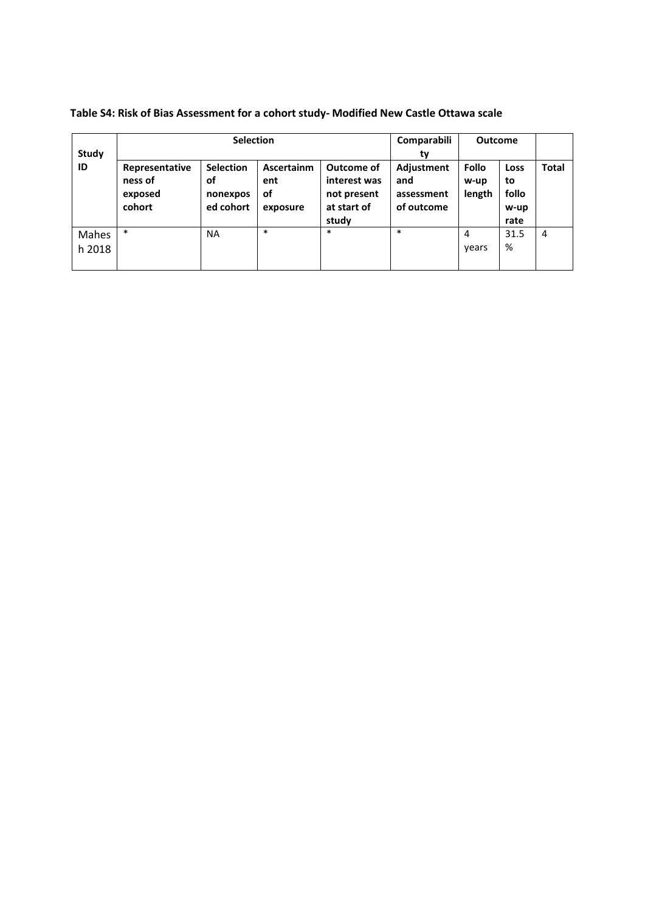|                 | <b>Selection</b>                               |                                                 |                                            |                                                                   | Comparabili                                          | <b>Outcome</b>          |                                     |                |
|-----------------|------------------------------------------------|-------------------------------------------------|--------------------------------------------|-------------------------------------------------------------------|------------------------------------------------------|-------------------------|-------------------------------------|----------------|
| Study           |                                                | tv                                              |                                            |                                                                   |                                                      |                         |                                     |                |
| ID              | Representative<br>ness of<br>exposed<br>cohort | <b>Selection</b><br>οf<br>nonexpos<br>ed cohort | <b>Ascertainm</b><br>ent<br>οf<br>exposure | Outcome of<br>interest was<br>not present<br>at start of<br>study | <b>Adjustment</b><br>and<br>assessment<br>of outcome | Follo<br>w-up<br>length | Loss<br>to<br>follo<br>w-up<br>rate | <b>Total</b>   |
| Mahes<br>h 2018 | $\ast$                                         | <b>NA</b>                                       | $\ast$                                     | $\ast$                                                            | $\ast$                                               | 4<br>vears              | 31.5<br>%                           | $\overline{4}$ |

**Table S4: Risk of Bias Assessment for a cohort study- Modified New Castle Ottawa scale**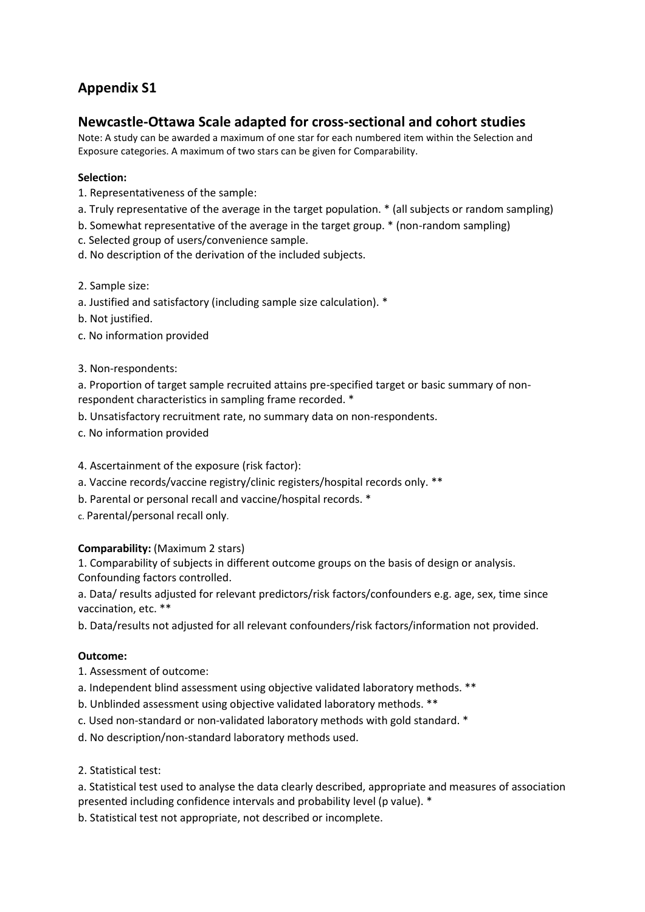# **Appendix S1**

# **Newcastle-Ottawa Scale adapted for cross-sectional and cohort studies**

Note: A study can be awarded a maximum of one star for each numbered item within the Selection and Exposure categories. A maximum of two stars can be given for Comparability.

# **Selection:**

- 1. Representativeness of the sample:
- a. Truly representative of the average in the target population. \* (all subjects or random sampling)
- b. Somewhat representative of the average in the target group. \* (non-random sampling)
- c. Selected group of users/convenience sample.
- d. No description of the derivation of the included subjects.
- 2. Sample size:
- a. Justified and satisfactory (including sample size calculation). \*
- b. Not justified.
- c. No information provided
- 3. Non-respondents:

a. Proportion of target sample recruited attains pre-specified target or basic summary of nonrespondent characteristics in sampling frame recorded. \*

- b. Unsatisfactory recruitment rate, no summary data on non-respondents.
- c. No information provided

#### 4. Ascertainment of the exposure (risk factor):

- a. Vaccine records/vaccine registry/clinic registers/hospital records only. \*\*
- b. Parental or personal recall and vaccine/hospital records. \*
- c. Parental/personal recall only.

#### **Comparability:** (Maximum 2 stars)

1. Comparability of subjects in different outcome groups on the basis of design or analysis. Confounding factors controlled.

a. Data/ results adjusted for relevant predictors/risk factors/confounders e.g. age, sex, time since vaccination, etc. \*\*

b. Data/results not adjusted for all relevant confounders/risk factors/information not provided.

#### **Outcome:**

- 1. Assessment of outcome:
- a. Independent blind assessment using objective validated laboratory methods. \*\*
- b. Unblinded assessment using objective validated laboratory methods. \*\*
- c. Used non-standard or non-validated laboratory methods with gold standard. \*
- d. No description/non-standard laboratory methods used.
- 2. Statistical test:

a. Statistical test used to analyse the data clearly described, appropriate and measures of association presented including confidence intervals and probability level (p value). \*

b. Statistical test not appropriate, not described or incomplete.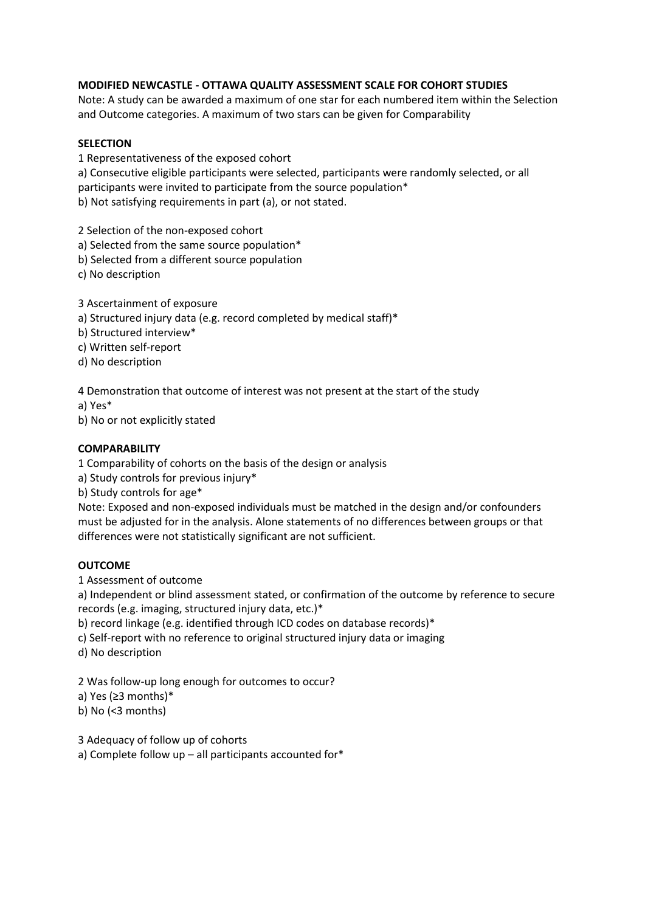## **MODIFIED NEWCASTLE - OTTAWA QUALITY ASSESSMENT SCALE FOR COHORT STUDIES**

Note: A study can be awarded a maximum of one star for each numbered item within the Selection and Outcome categories. A maximum of two stars can be given for Comparability

#### **SELECTION**

1 Representativeness of the exposed cohort

a) Consecutive eligible participants were selected, participants were randomly selected, or all participants were invited to participate from the source population\* b) Not satisfying requirements in part (a), or not stated.

2 Selection of the non-exposed cohort

- a) Selected from the same source population\*
- b) Selected from a different source population
- c) No description
- 3 Ascertainment of exposure
- a) Structured injury data (e.g. record completed by medical staff)\*
- b) Structured interview\*
- c) Written self-report
- d) No description

4 Demonstration that outcome of interest was not present at the start of the study

a) Yes\*

b) No or not explicitly stated

## **COMPARABILITY**

1 Comparability of cohorts on the basis of the design or analysis

a) Study controls for previous injury\*

b) Study controls for age\*

Note: Exposed and non-exposed individuals must be matched in the design and/or confounders must be adjusted for in the analysis. Alone statements of no differences between groups or that differences were not statistically significant are not sufficient.

#### **OUTCOME**

1 Assessment of outcome

a) Independent or blind assessment stated, or confirmation of the outcome by reference to secure records (e.g. imaging, structured injury data, etc.)\*

b) record linkage (e.g. identified through ICD codes on database records)\*

c) Self-report with no reference to original structured injury data or imaging

d) No description

2 Was follow-up long enough for outcomes to occur? a) Yes (≥3 months)\*

b) No (<3 months)

3 Adequacy of follow up of cohorts

a) Complete follow up – all participants accounted for\*